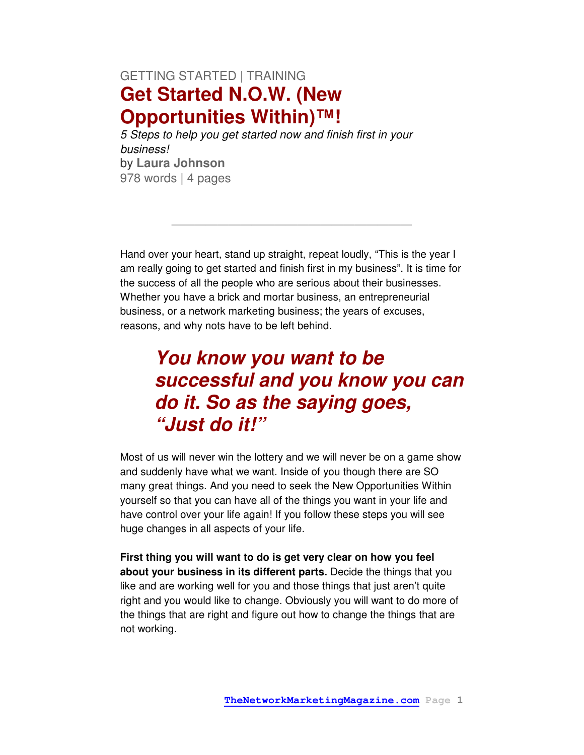#### GETTING STARTED | TRAINING **Get Started N.O.W. (New Opportunities Within)™!**

5 Steps to help you get started now and finish first in your business! by **Laura Johnson**  978 words | 4 pages

Hand over your heart, stand up straight, repeat loudly, "This is the year I am really going to get started and finish first in my business". It is time for the success of all the people who are serious about their businesses. Whether you have a brick and mortar business, an entrepreneurial business, or a network marketing business; the years of excuses, reasons, and why nots have to be left behind.

**—————————————————————**

# **You know you want to be successful and you know you can do it. So as the saying goes, "Just do it!"**

Most of us will never win the lottery and we will never be on a game show and suddenly have what we want. Inside of you though there are SO many great things. And you need to seek the New Opportunities Within yourself so that you can have all of the things you want in your life and have control over your life again! If you follow these steps you will see huge changes in all aspects of your life.

**First thing you will want to do is get very clear on how you feel about your business in its different parts.** Decide the things that you like and are working well for you and those things that just aren't quite right and you would like to change. Obviously you will want to do more of the things that are right and figure out how to change the things that are not working.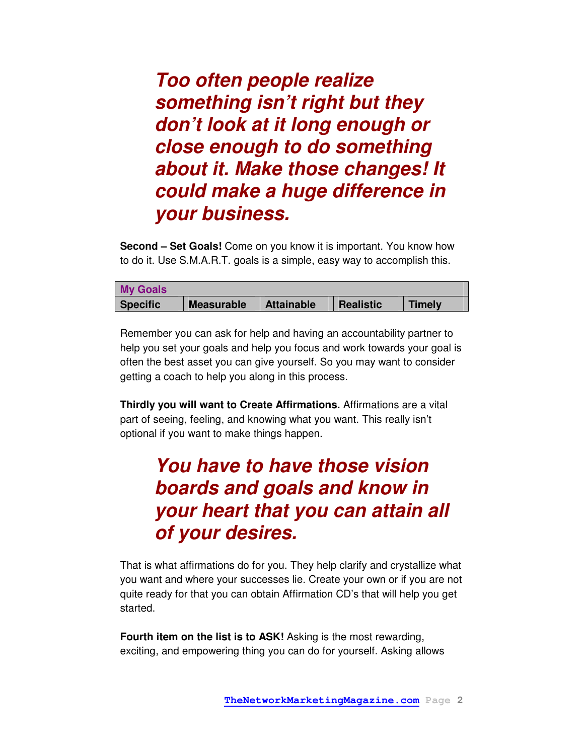**Too often people realize something isn't right but they don't look at it long enough or close enough to do something about it. Make those changes! It could make a huge difference in your business.** 

**Second – Set Goals!** Come on you know it is important. You know how to do it. Use S.M.A.R.T. goals is a simple, easy way to accomplish this.

| <b>My Goals</b> |                   |                   |                  |               |
|-----------------|-------------------|-------------------|------------------|---------------|
| <b>Specific</b> | <b>Measurable</b> | <b>Attainable</b> | <b>Realistic</b> | <b>Timely</b> |

Remember you can ask for help and having an accountability partner to help you set your goals and help you focus and work towards your goal is often the best asset you can give yourself. So you may want to consider getting a coach to help you along in this process.

**Thirdly you will want to Create Affirmations.** Affirmations are a vital part of seeing, feeling, and knowing what you want. This really isn't optional if you want to make things happen.

# **You have to have those vision boards and goals and know in your heart that you can attain all of your desires.**

That is what affirmations do for you. They help clarify and crystallize what you want and where your successes lie. Create your own or if you are not quite ready for that you can obtain Affirmation CD's that will help you get started.

**Fourth item on the list is to ASK!** Asking is the most rewarding, exciting, and empowering thing you can do for yourself. Asking allows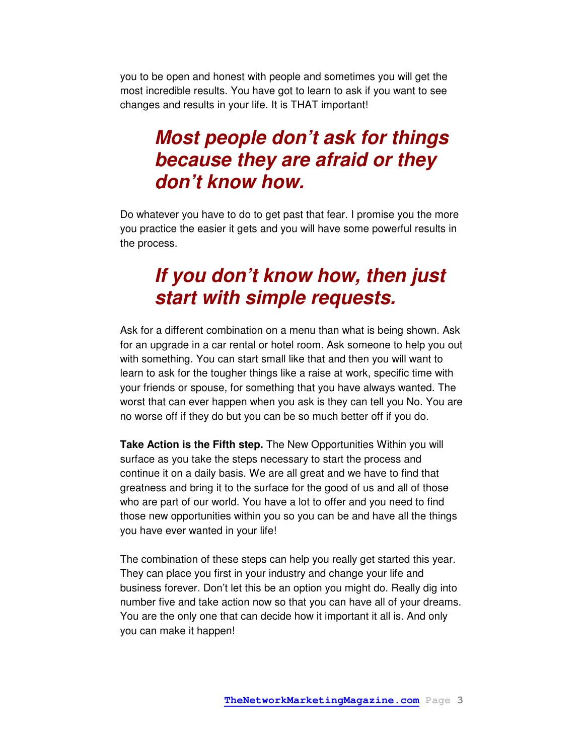you to be open and honest with people and sometimes you will get the most incredible results. You have got to learn to ask if you want to see changes and results in your life. It is THAT important!

#### **Most people don't ask for things because they are afraid or they don't know how.**

Do whatever you have to do to get past that fear. I promise you the more you practice the easier it gets and you will have some powerful results in the process.

### **If you don't know how, then just start with simple requests.**

Ask for a different combination on a menu than what is being shown. Ask for an upgrade in a car rental or hotel room. Ask someone to help you out with something. You can start small like that and then you will want to learn to ask for the tougher things like a raise at work, specific time with your friends or spouse, for something that you have always wanted. The worst that can ever happen when you ask is they can tell you No. You are no worse off if they do but you can be so much better off if you do.

**Take Action is the Fifth step.** The New Opportunities Within you will surface as you take the steps necessary to start the process and continue it on a daily basis. We are all great and we have to find that greatness and bring it to the surface for the good of us and all of those who are part of our world. You have a lot to offer and you need to find those new opportunities within you so you can be and have all the things you have ever wanted in your life!

The combination of these steps can help you really get started this year. They can place you first in your industry and change your life and business forever. Don't let this be an option you might do. Really dig into number five and take action now so that you can have all of your dreams. You are the only one that can decide how it important it all is. And only you can make it happen!